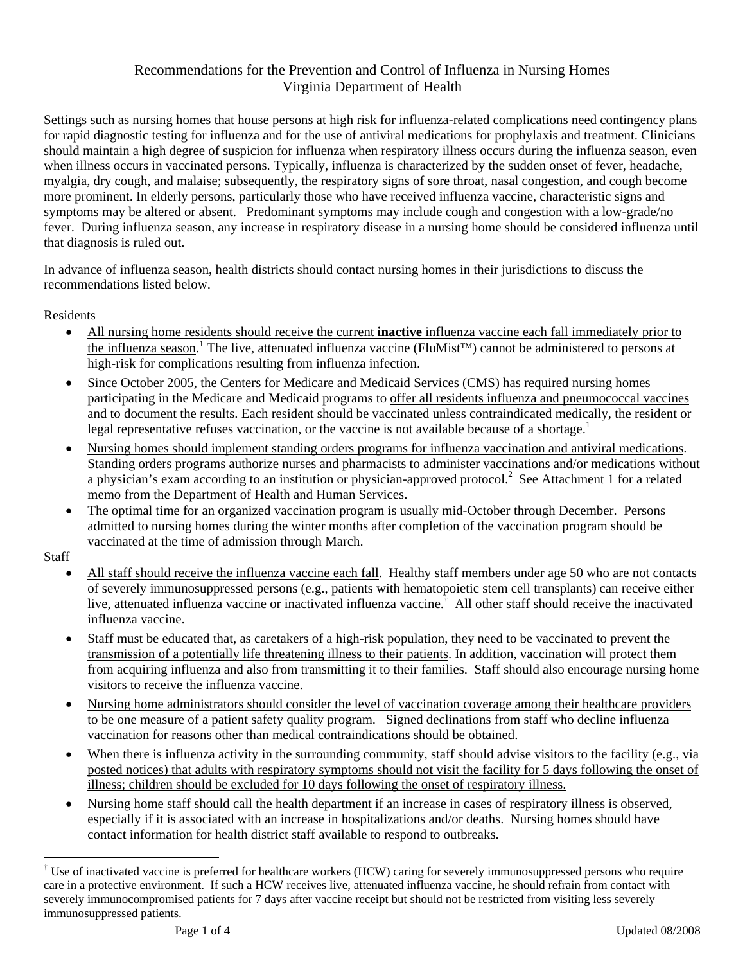## Recommendations for the Prevention and Control of Influenza in Nursing Homes Virginia Department of Health

Settings such as nursing homes that house persons at high risk for influenza-related complications need contingency plans for rapid diagnostic testing for influenza and for the use of antiviral medications for prophylaxis and treatment. Clinicians should maintain a high degree of suspicion for influenza when respiratory illness occurs during the influenza season, even when illness occurs in vaccinated persons. Typically, influenza is characterized by the sudden onset of fever, headache, myalgia, dry cough, and malaise; subsequently, the respiratory signs of sore throat, nasal congestion, and cough become more prominent. In elderly persons, particularly those who have received influenza vaccine, characteristic signs and symptoms may be altered or absent. Predominant symptoms may include cough and congestion with a low-grade/no fever. During influenza season, any increase in respiratory disease in a nursing home should be considered influenza until that diagnosis is ruled out.

In advance of influenza season, health districts should contact nursing homes in their jurisdictions to discuss the recommendations listed below.

Residents

- All nursing home residents should receive the current **inactive** influenza vaccine each fall immediately prior to the influenza season.<sup>1</sup> The live, attenuated influenza vaccine (FluMist<sup>™)</sup> cannot be administered to persons at high-risk for complications resulting from influenza infection.
- Since October 2005, the Centers for Medicare and Medicaid Services (CMS) has required nursing homes participating in the Medicare and Medicaid programs to offer all residents influenza and pneumococcal vaccines and to document the results. Each resident should be vaccinated unless contraindicated medically, the resident or legal representative refuses vaccination, or the vaccine is not available because of a shortage.<sup>1</sup>
- Nursing homes should implement standing orders programs for influenza vaccination and antiviral medications. Standing orders programs authorize nurses and pharmacists to administer vaccinations and/or medications without a physician's exam according to an institution or physician-approved protocol.<sup>2</sup> See Attachment 1 for a related memo from the Department of Health and Human Services.
- The optimal time for an organized vaccination program is usually mid-October through December. Persons admitted to nursing homes during the winter months after completion of the vaccination program should be vaccinated at the time of admission through March.

**Staff** 

 $\overline{a}$ 

- All staff should receive the influenza vaccine each fall. Healthy staff members under age 50 who are not contacts of severely immunosuppressed persons (e.g., patients with hematopoietic stem cell transplants) can receive either live, attenuated influenza vaccine or inactivated influenza vaccine.† All other staff should receive the inactivated influenza vaccine.
- Staff must be educated that, as caretakers of a high-risk population, they need to be vaccinated to prevent the transmission of a potentially life threatening illness to their patients. In addition, vaccination will protect them from acquiring influenza and also from transmitting it to their families. Staff should also encourage nursing home visitors to receive the influenza vaccine.
- Nursing home administrators should consider the level of vaccination coverage among their healthcare providers to be one measure of a patient safety quality program. Signed declinations from staff who decline influenza vaccination for reasons other than medical contraindications should be obtained.
- When there is influenza activity in the surrounding community, staff should advise visitors to the facility (e.g., via posted notices) that adults with respiratory symptoms should not visit the facility for 5 days following the onset of illness; children should be excluded for 10 days following the onset of respiratory illness.
- Nursing home staff should call the health department if an increase in cases of respiratory illness is observed, especially if it is associated with an increase in hospitalizations and/or deaths. Nursing homes should have contact information for health district staff available to respond to outbreaks.

<sup>&</sup>lt;sup>†</sup> Use of inactivated vaccine is preferred for healthcare workers (HCW) caring for severely immunosuppressed persons who require care in a protective environment. If such a HCW receives live, attenuated influenza vaccine, he should refrain from contact with severely immunocompromised patients for 7 days after vaccine receipt but should not be restricted from visiting less severely immunosuppressed patients.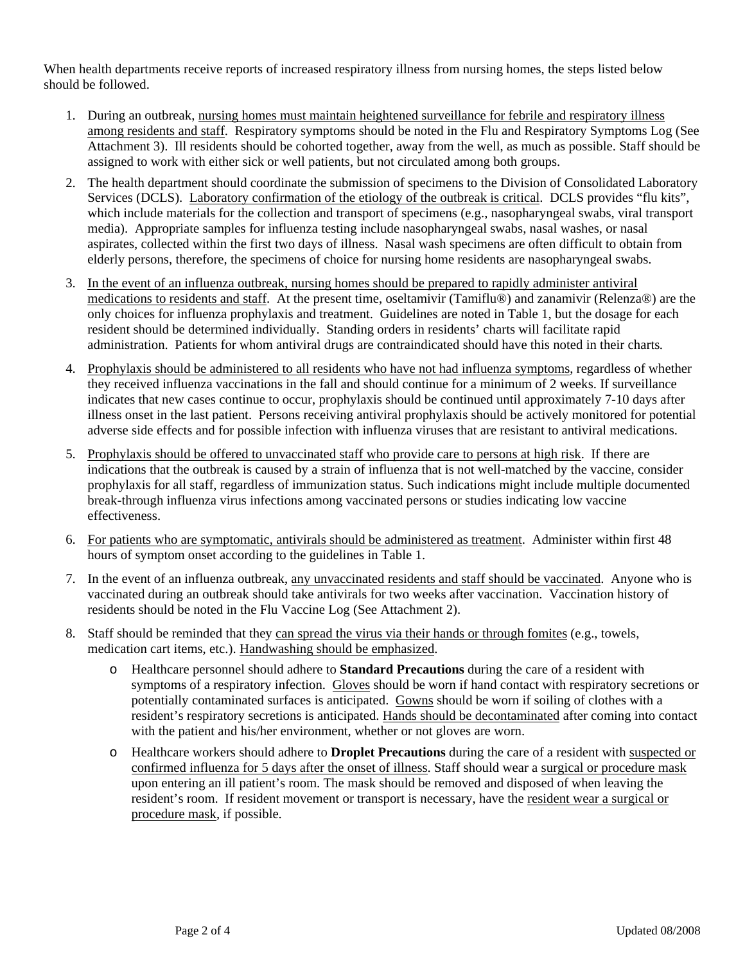When health departments receive reports of increased respiratory illness from nursing homes, the steps listed below should be followed.

- 1. During an outbreak, nursing homes must maintain heightened surveillance for febrile and respiratory illness among residents and staff. Respiratory symptoms should be noted in the Flu and Respiratory Symptoms Log (See Attachment 3). Ill residents should be cohorted together, away from the well, as much as possible. Staff should be assigned to work with either sick or well patients, but not circulated among both groups.
- 2. The health department should coordinate the submission of specimens to the Division of Consolidated Laboratory Services (DCLS). Laboratory confirmation of the etiology of the outbreak is critical. DCLS provides "flu kits", which include materials for the collection and transport of specimens (e.g., nasopharyngeal swabs, viral transport media). Appropriate samples for influenza testing include nasopharyngeal swabs, nasal washes, or nasal aspirates, collected within the first two days of illness. Nasal wash specimens are often difficult to obtain from elderly persons, therefore, the specimens of choice for nursing home residents are nasopharyngeal swabs.
- 3. In the event of an influenza outbreak, nursing homes should be prepared to rapidly administer antiviral medications to residents and staff. At the present time, oseltamivir (Tamiflu®) and zanamivir (Relenza®) are the only choices for influenza prophylaxis and treatment. Guidelines are noted in Table 1, but the dosage for each resident should be determined individually. Standing orders in residents' charts will facilitate rapid administration. Patients for whom antiviral drugs are contraindicated should have this noted in their charts*.*
- 4. Prophylaxis should be administered to all residents who have not had influenza symptoms, regardless of whether they received influenza vaccinations in the fall and should continue for a minimum of 2 weeks. If surveillance indicates that new cases continue to occur, prophylaxis should be continued until approximately 7-10 days after illness onset in the last patient. Persons receiving antiviral prophylaxis should be actively monitored for potential adverse side effects and for possible infection with influenza viruses that are resistant to antiviral medications.
- 5. Prophylaxis should be offered to unvaccinated staff who provide care to persons at high risk. If there are indications that the outbreak is caused by a strain of influenza that is not well-matched by the vaccine, consider prophylaxis for all staff, regardless of immunization status. Such indications might include multiple documented break-through influenza virus infections among vaccinated persons or studies indicating low vaccine effectiveness.
- 6. For patients who are symptomatic, antivirals should be administered as treatment. Administer within first 48 hours of symptom onset according to the guidelines in Table 1.
- 7. In the event of an influenza outbreak, any unvaccinated residents and staff should be vaccinated. Anyone who is vaccinated during an outbreak should take antivirals for two weeks after vaccination. Vaccination history of residents should be noted in the Flu Vaccine Log (See Attachment 2).
- 8. Staff should be reminded that they can spread the virus via their hands or through fomites (e.g., towels, medication cart items, etc.). Handwashing should be emphasized.
	- o Healthcare personnel should adhere to **Standard Precautions** during the care of a resident with symptoms of a respiratory infection. Gloves should be worn if hand contact with respiratory secretions or potentially contaminated surfaces is anticipated. Gowns should be worn if soiling of clothes with a resident's respiratory secretions is anticipated. Hands should be decontaminated after coming into contact with the patient and his/her environment, whether or not gloves are worn.
	- o Healthcare workers should adhere to **Droplet Precautions** during the care of a resident with suspected or confirmed influenza for 5 days after the onset of illness. Staff should wear a surgical or procedure mask upon entering an ill patient's room. The mask should be removed and disposed of when leaving the resident's room. If resident movement or transport is necessary, have the resident wear a surgical or procedure mask, if possible.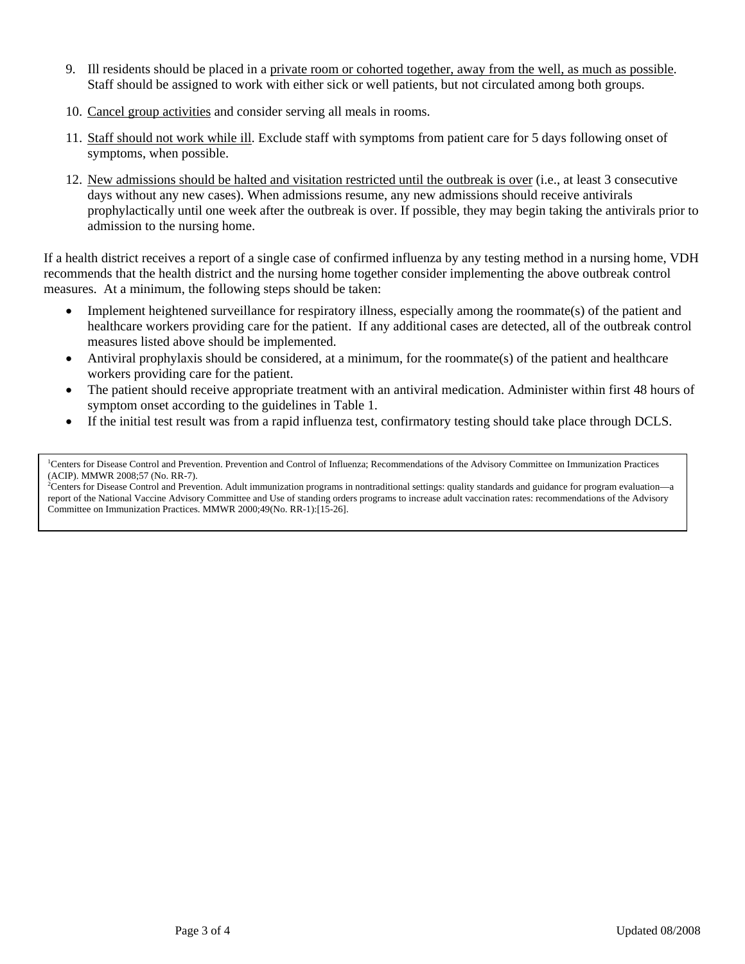- 9. Ill residents should be placed in a private room or cohorted together, away from the well, as much as possible. Staff should be assigned to work with either sick or well patients, but not circulated among both groups.
- 10. Cancel group activities and consider serving all meals in rooms.
- 11. Staff should not work while ill. Exclude staff with symptoms from patient care for 5 days following onset of symptoms, when possible.
- 12. New admissions should be halted and visitation restricted until the outbreak is over (i.e., at least 3 consecutive days without any new cases). When admissions resume, any new admissions should receive antivirals prophylactically until one week after the outbreak is over. If possible, they may begin taking the antivirals prior to admission to the nursing home.

If a health district receives a report of a single case of confirmed influenza by any testing method in a nursing home, VDH recommends that the health district and the nursing home together consider implementing the above outbreak control measures. At a minimum, the following steps should be taken:

- Implement heightened surveillance for respiratory illness, especially among the roommate(s) of the patient and healthcare workers providing care for the patient. If any additional cases are detected, all of the outbreak control measures listed above should be implemented.
- Antiviral prophylaxis should be considered, at a minimum, for the roommate(s) of the patient and healthcare workers providing care for the patient.
- The patient should receive appropriate treatment with an antiviral medication. Administer within first 48 hours of symptom onset according to the guidelines in Table 1.
- If the initial test result was from a rapid influenza test, confirmatory testing should take place through DCLS.

<sup>1</sup>Centers for Disease Control and Prevention. Prevention and Control of Influenza; Recommendations of the Advisory Committee on Immunization Practices

(ACIP). MMWR 2008;57 (No. RR-7).<br><sup>2</sup>Centers for Disease Control and Prevention. Adult immunization programs in nontraditional settings: quality standards and guidance for program evaluation—a report of the National Vaccine Advisory Committee and Use of standing orders programs to increase adult vaccination rates: recommendations of the Advisory Committee on Immunization Practices. MMWR 2000;49(No. RR-1):[15-26].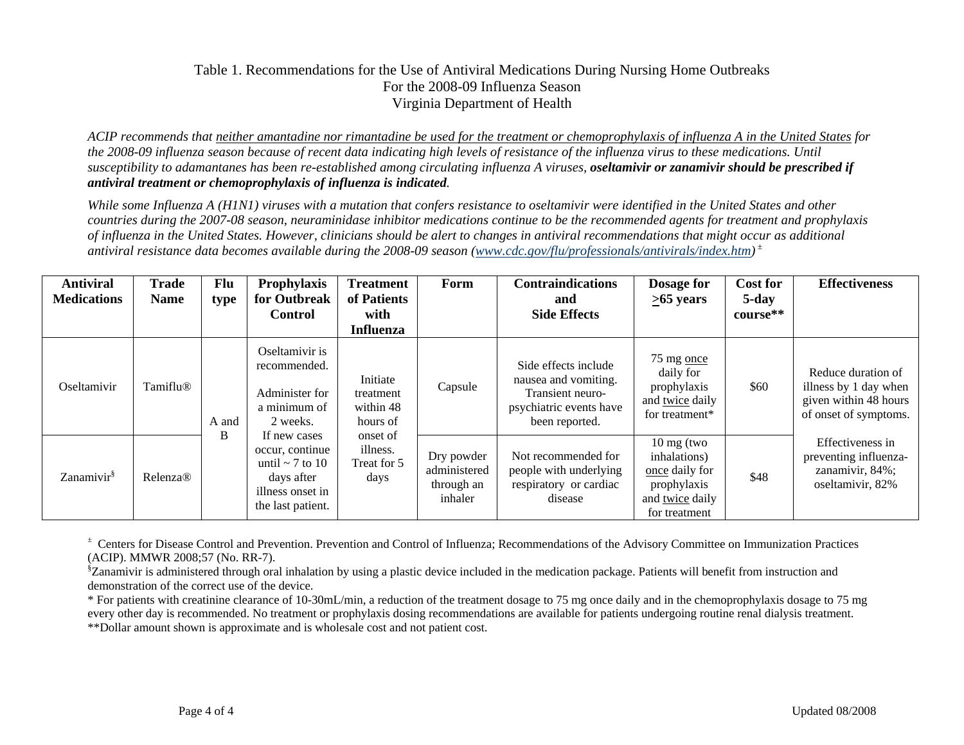#### Table 1. Recommendations for the Use of Antiviral Medications During Nursing Home Outbreaks For the 2008-09 Influenza Season Virginia Department of Health

*ACIP recommends that neither amantadine nor rimantadine be used for the treatment or chemoprophylaxis of influenza A in the United States for the 2008-09 influenza season because of recent data indicating high levels of resistance of the influenza virus to these medications. Until susceptibility to adamantanes has been re-established among circulating influenza A viruses, oseltamivir or zanamivir should be prescribed if antiviral treatment or chemoprophylaxis of influenza is indicated.* 

*While some Influenza A (H1N1) viruses with a mutation that confers resistance to oseltamivir were identified in the United States and other countries during the 2007-08 season, neuraminidase inhibitor medications continue to be the recommended agents for treatment and prophylaxis of influenza in the United States. However, clinicians should be alert to changes in antiviral recommendations that might occur as additional antiviral resistance data becomes available during the 2008-09 season (www.cdc.gov/flu/professionals/antivirals/index.htm) <sup>±</sup>*

| <b>Antiviral</b><br><b>Medications</b> | <b>Trade</b><br><b>Name</b> | Flu<br>type | <b>Prophylaxis</b><br>for Outbreak<br><b>Control</b>                                                           | Treatment<br>of Patients<br>with               | Form                                                | <b>Contraindications</b><br>and<br><b>Side Effects</b>                                                        | Dosage for<br>$\geq 65$ years                                                                             | <b>Cost for</b><br>5-day<br>course** | <b>Effectiveness</b>                                                                          |
|----------------------------------------|-----------------------------|-------------|----------------------------------------------------------------------------------------------------------------|------------------------------------------------|-----------------------------------------------------|---------------------------------------------------------------------------------------------------------------|-----------------------------------------------------------------------------------------------------------|--------------------------------------|-----------------------------------------------------------------------------------------------|
|                                        |                             |             |                                                                                                                | <b>Influenza</b>                               |                                                     |                                                                                                               |                                                                                                           |                                      |                                                                                               |
| Oseltamivir                            | Tamiflu®                    | A and       | Oseltamivir is<br>recommended.<br>Administer for<br>a minimum of<br>2 weeks.                                   | Initiate<br>treatment<br>within 48<br>hours of | Capsule                                             | Side effects include<br>nausea and vomiting.<br>Transient neuro-<br>psychiatric events have<br>been reported. | 75 mg once<br>daily for<br>prophylaxis<br>and twice daily<br>for treatment*                               | \$60                                 | Reduce duration of<br>illness by 1 day when<br>given within 48 hours<br>of onset of symptoms. |
| Zanamivir <sup>§</sup>                 | Relenza®                    | B           | If new cases<br>occur, continue<br>until $\sim$ 7 to 10<br>days after<br>illness onset in<br>the last patient. | onset of<br>illness.<br>Treat for 5<br>days    | Dry powder<br>administered<br>through an<br>inhaler | Not recommended for<br>people with underlying<br>respiratory or cardiac<br>disease                            | $10 \text{ mg}$ (two<br>inhalations)<br>once daily for<br>prophylaxis<br>and twice daily<br>for treatment | \$48                                 | Effectiveness in<br>preventing influenza-<br>zanamivir, 84%;<br>oseltamivir, 82%              |

*<sup>±</sup>*Centers for Disease Control and Prevention. Prevention and Control of Influenza; Recommendations of the Advisory Committee on Immunization Practices (ACIP). MMWR 2008;57 (No. RR-7).

§Zanamivir is administered through oral inhalation by using a plastic device included in the medication package. Patients will benefit from instruction and demonstration of the correct use of the device.

\* For patients with creatinine clearance of 10-30mL/min, a reduction of the treatment dosage to 75 mg once daily and in the chemoprophylaxis dosage to 75 mg every other day is recommended. No treatment or prophylaxis dosing recommendations are available for patients undergoing routine renal dialysis treatment. \*\*Dollar amount shown is approximate and is wholesale cost and not patient cost.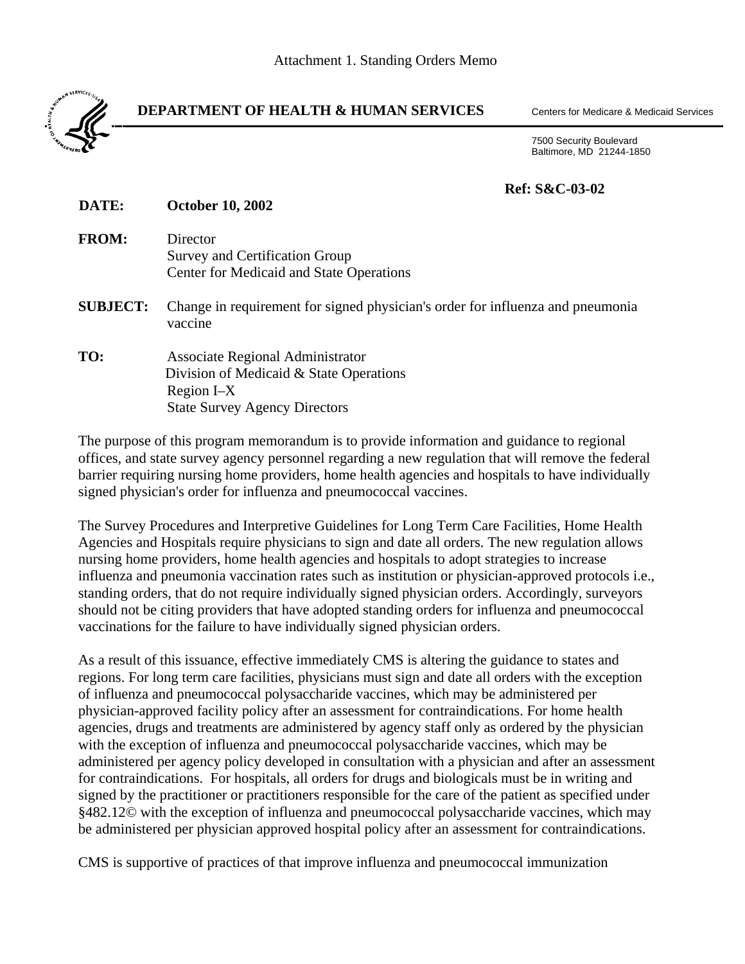

#### **DEPARTMENT OF HEALTH & HUMAN SERVICES** Centers for Medicare & Medicaid Services

 7500 Security Boulevard Baltimore, MD 21244-1850

### **Ref: S&C-03-02**

| DATE:           | <b>October 10, 2002</b>                                                                   |
|-----------------|-------------------------------------------------------------------------------------------|
| <b>FROM:</b>    | Director                                                                                  |
|                 | Survey and Certification Group                                                            |
|                 | <b>Center for Medicaid and State Operations</b>                                           |
| <b>SUBJECT:</b> | Change in requirement for signed physician's order for influenza and pneumonia<br>vaccine |
| TO:             | <b>Associate Regional Administrator</b>                                                   |
|                 | Division of Medicaid & State Operations                                                   |
|                 | Region I-X                                                                                |
|                 | <b>State Survey Agency Directors</b>                                                      |
|                 |                                                                                           |

The purpose of this program memorandum is to provide information and guidance to regional offices, and state survey agency personnel regarding a new regulation that will remove the federal barrier requiring nursing home providers, home health agencies and hospitals to have individually signed physician's order for influenza and pneumococcal vaccines.

The Survey Procedures and Interpretive Guidelines for Long Term Care Facilities, Home Health Agencies and Hospitals require physicians to sign and date all orders. The new regulation allows nursing home providers, home health agencies and hospitals to adopt strategies to increase influenza and pneumonia vaccination rates such as institution or physician-approved protocols i.e., standing orders, that do not require individually signed physician orders. Accordingly, surveyors should not be citing providers that have adopted standing orders for influenza and pneumococcal vaccinations for the failure to have individually signed physician orders.

As a result of this issuance, effective immediately CMS is altering the guidance to states and regions. For long term care facilities, physicians must sign and date all orders with the exception of influenza and pneumococcal polysaccharide vaccines, which may be administered per physician-approved facility policy after an assessment for contraindications. For home health agencies, drugs and treatments are administered by agency staff only as ordered by the physician with the exception of influenza and pneumococcal polysaccharide vaccines, which may be administered per agency policy developed in consultation with a physician and after an assessment for contraindications. For hospitals, all orders for drugs and biologicals must be in writing and signed by the practitioner or practitioners responsible for the care of the patient as specified under §482.12© with the exception of influenza and pneumococcal polysaccharide vaccines, which may be administered per physician approved hospital policy after an assessment for contraindications.

CMS is supportive of practices of that improve influenza and pneumococcal immunization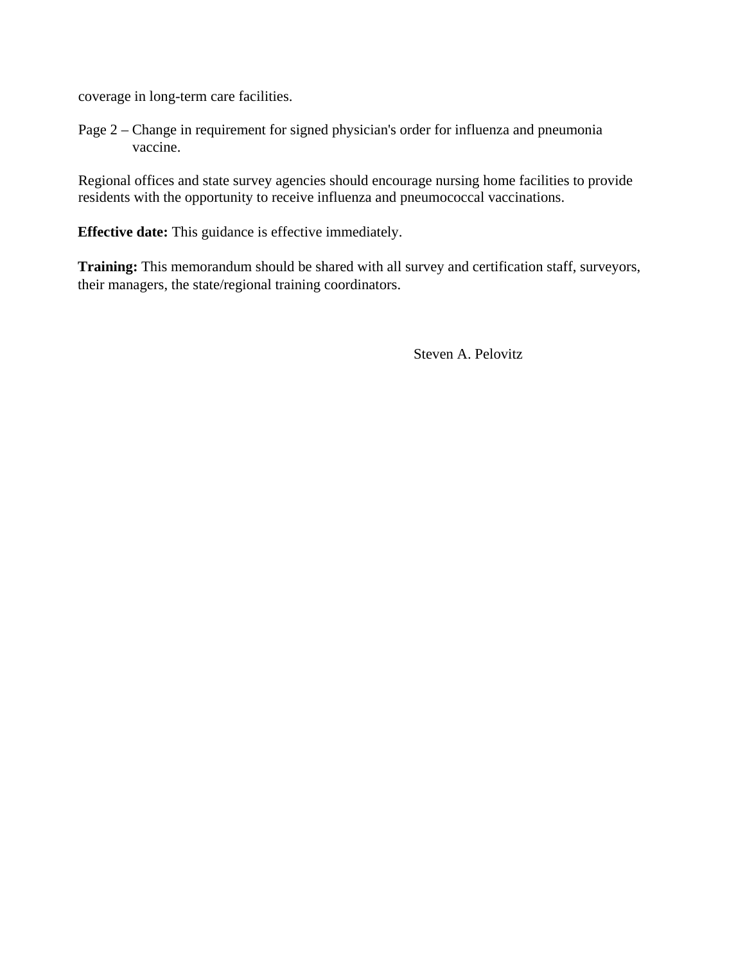coverage in long-term care facilities.

Page 2 – Change in requirement for signed physician's order for influenza and pneumonia vaccine.

Regional offices and state survey agencies should encourage nursing home facilities to provide residents with the opportunity to receive influenza and pneumococcal vaccinations.

**Effective date:** This guidance is effective immediately.

**Training:** This memorandum should be shared with all survey and certification staff, surveyors, their managers, the state/regional training coordinators.

Steven A. Pelovitz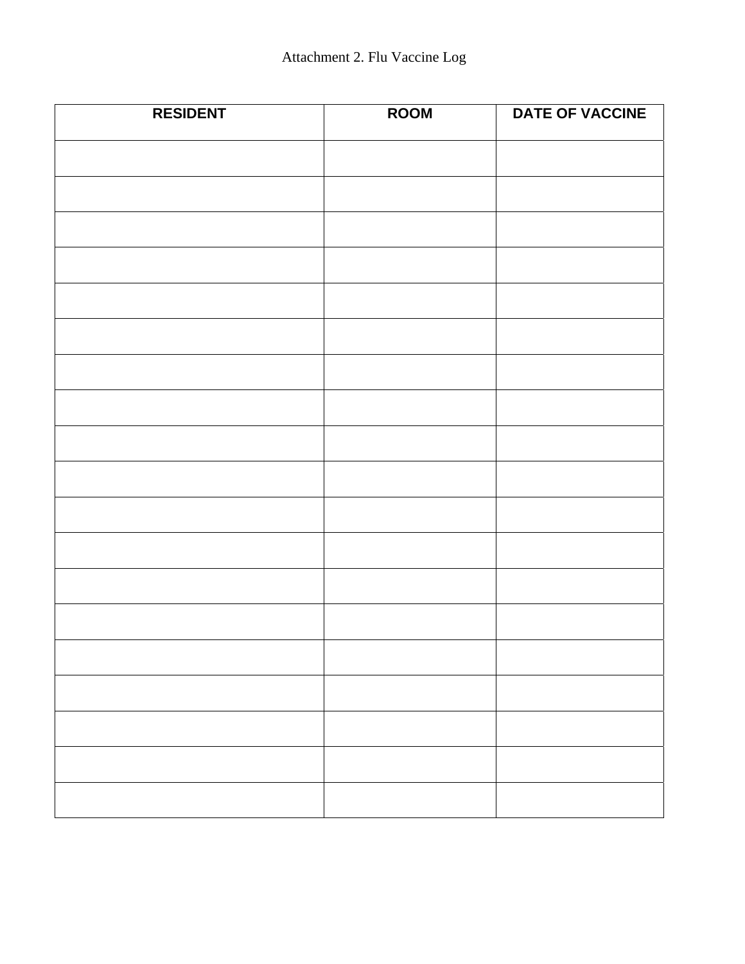| <b>RESIDENT</b> | <b>ROOM</b> | DATE OF VACCINE |
|-----------------|-------------|-----------------|
|                 |             |                 |
|                 |             |                 |
|                 |             |                 |
|                 |             |                 |
|                 |             |                 |
|                 |             |                 |
|                 |             |                 |
|                 |             |                 |
|                 |             |                 |
|                 |             |                 |
|                 |             |                 |
|                 |             |                 |
|                 |             |                 |
|                 |             |                 |
|                 |             |                 |
|                 |             |                 |
|                 |             |                 |
|                 |             |                 |
|                 |             |                 |
|                 |             |                 |